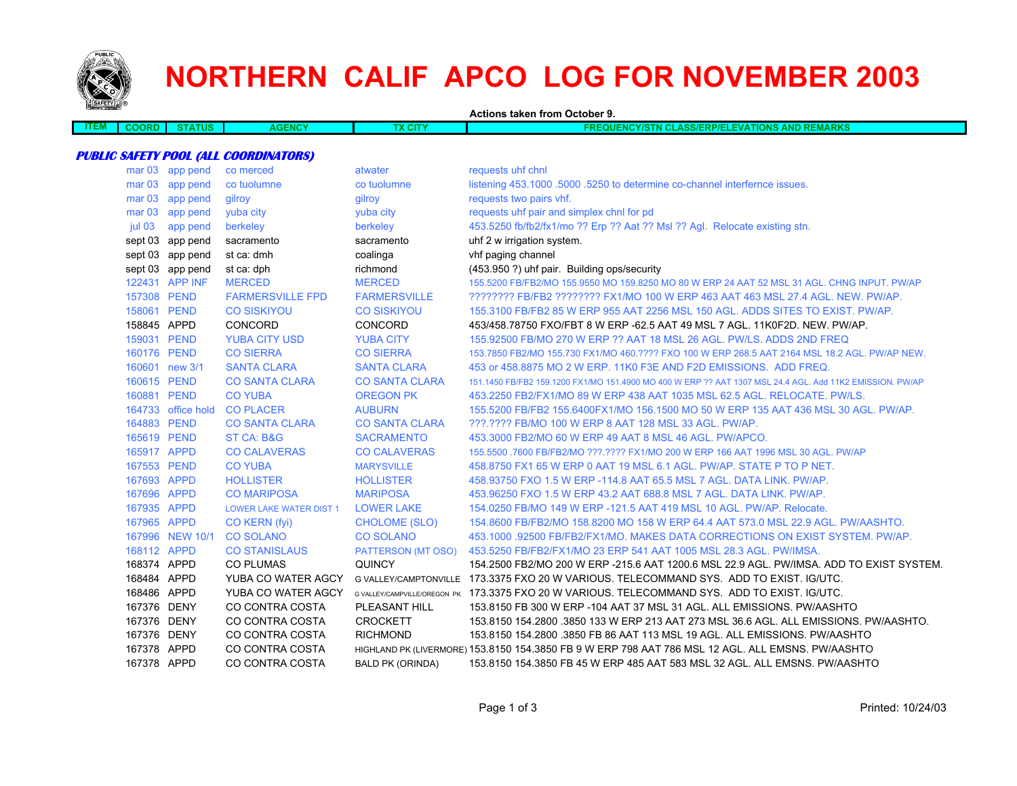

## **NORTHERN CALIF APCO LOG FOR NOVEMBER 2003**

**Actions taken from October 9.**

|              |             |              |     | ___<br>____<br>.                                                                                 |
|--------------|-------------|--------------|-----|--------------------------------------------------------------------------------------------------|
| ----<br>≕ıvı | <b>ATUS</b> | <b>JENCY</b> | CIT | <b>REMARKS</b><br><b>ATIONS</b><br>$-10V$<br><b>N CLASS/ERP/ELE\</b><br><b>UNCYISTN CLE</b><br>. |
|              |             |              |     |                                                                                                  |

## **PUBLIC SAFETY POOL (ALL COORDINATORS)**

| mar <sub>03</sub> | app pend         | co merced                      | atwater                      | requests uhf chnl                                                                                        |
|-------------------|------------------|--------------------------------|------------------------------|----------------------------------------------------------------------------------------------------------|
| mar <sub>03</sub> | app pend         | co tuolumne                    | co tuolumne                  | listening 453.1000 .5000 .5250 to determine co-channel interfernce issues.                               |
| mar <sub>03</sub> | app pend         | gilroy                         | gilroy                       | requests two pairs vhf.                                                                                  |
| mar <sub>03</sub> | app pend         | yuba city                      | yuba city                    | requests uhf pair and simplex chnl for pd                                                                |
| jul 03            | app pend         | berkeley                       | berkeley                     | 453.5250 fb/fb2/fx1/mo ?? Erp ?? Aat ?? Msl ?? Agl. Relocate existing stn.                               |
|                   | sept 03 app pend | sacramento                     | sacramento                   | uhf 2 w irrigation system.                                                                               |
|                   | sept 03 app pend | st ca: dmh                     | coalinga                     | vhf paging channel                                                                                       |
|                   | sept 03 app pend | st ca: dph                     | richmond                     | (453.950 ?) uhf pair. Building ops/security                                                              |
|                   | 122431 APP INF   | <b>MERCED</b>                  | <b>MERCED</b>                | 155,5200 FB/FB2/MO 155,9550 MO 159,8250 MO 80 W ERP 24 AAT 52 MSL 31 AGL, CHNG INPUT, PW/AP              |
| 157308 PEND       |                  | <b>FARMERSVILLE FPD</b>        | <b>FARMERSVILLE</b>          | ???????? FB/FB2 ??????? FX1/MO 100 W ERP 463 AAT 463 MSL 27.4 AGL. NEW. PW/AP.                           |
| 158061 PEND       |                  | <b>CO SISKIYOU</b>             | <b>CO SISKIYOU</b>           | 155,3100 FB/FB2 85 W ERP 955 AAT 2256 MSL 150 AGL, ADDS SITES TO EXIST, PW/AP,                           |
| 158845 APPD       |                  | CONCORD                        | <b>CONCORD</b>               | 453/458.78750 FXO/FBT 8 W ERP -62.5 AAT 49 MSL 7 AGL, 11K0F2D, NEW, PW/AP,                               |
| 159031 PEND       |                  | <b>YUBA CITY USD</b>           | <b>YUBA CITY</b>             | 155,92500 FB/MO 270 W ERP ?? AAT 18 MSL 26 AGL, PW/LS, ADDS 2ND FREQ                                     |
| 160176 PEND       |                  | <b>CO SIERRA</b>               | <b>CO SIERRA</b>             | 153.7850 FB2/MO 155.730 FX1/MO 460.???? FXO 100 W ERP 268.5 AAT 2164 MSL 18.2 AGL. PW/AP NEW.            |
|                   | 160601 new 3/1   | <b>SANTA CLARA</b>             | <b>SANTA CLARA</b>           | 453 or 458.8875 MO 2 W ERP. 11K0 F3E AND F2D EMISSIONS. ADD FREQ.                                        |
| 160615 PEND       |                  | <b>CO SANTA CLARA</b>          | <b>CO SANTA CLARA</b>        | 151.1450 FB/FB2 159.1200 FX1/MO 151.4900 MO 400 W ERP ?? AAT 1307 MSL 24.4 AGL. Add 11K2 EMISSION. PW/AP |
| 160881 PEND       |                  | <b>CO YUBA</b>                 | <b>OREGON PK</b>             | 453.2250 FB2/FX1/MO 89 W ERP 438 AAT 1035 MSL 62.5 AGL. RELOCATE. PW/LS.                                 |
| 164733            | office hold      | <b>CO PLACER</b>               | <b>AUBURN</b>                | 155,5200 FB/FB2 155,6400FX1/MO 156,1500 MO 50 W ERP 135 AAT 436 MSL 30 AGL, PW/AP,                       |
| 164883 PEND       |                  | <b>CO SANTA CLARA</b>          | <b>CO SANTA CLARA</b>        | ???.???? FB/MO 100 W ERP 8 AAT 128 MSL 33 AGL. PW/AP.                                                    |
| 165619 PEND       |                  | <b>ST CA: B&amp;G</b>          | <b>SACRAMENTO</b>            | 453,3000 FB2/MO 60 W ERP 49 AAT 8 MSL 46 AGL, PW/APCO.                                                   |
| 165917 APPD       |                  | <b>CO CALAVERAS</b>            | <b>CO CALAVERAS</b>          | 155.5500 .7600 FB/FB2/MO ???.???? FX1/MO 200 W ERP 166 AAT 1996 MSL 30 AGL. PW/AP                        |
| 167553 PEND       |                  | <b>CO YUBA</b>                 | <b>MARYSVILLE</b>            | 458,8750 FX1 65 W ERP 0 AAT 19 MSL 6.1 AGL, PW/AP, STATE P TO P NET.                                     |
| 167693 APPD       |                  | <b>HOLLISTER</b>               | <b>HOLLISTER</b>             | 458.93750 FXO 1.5 W ERP -114.8 AAT 65.5 MSL 7 AGL. DATA LINK. PW/AP.                                     |
| 167696 APPD       |                  | <b>CO MARIPOSA</b>             | <b>MARIPOSA</b>              | 453.96250 FXO 1.5 W ERP 43.2 AAT 688.8 MSL 7 AGL, DATA LINK, PW/AP.                                      |
| 167935 APPD       |                  | <b>LOWER LAKE WATER DIST 1</b> | <b>LOWER LAKE</b>            | 154.0250 FB/MO 149 W ERP -121.5 AAT 419 MSL 10 AGL, PW/AP, Relocate.                                     |
| 167965 APPD       |                  | CO KERN (fyi)                  | CHOLOME (SLO)                | 154,8600 FB/FB2/MO 158,8200 MO 158 W ERP 64.4 AAT 573.0 MSL 22.9 AGL, PW/AASHTO.                         |
|                   | 167996 NEW 10/1  | <b>CO SOLANO</b>               | <b>CO SOLANO</b>             | 453.1000 .92500 FB/FB2/FX1/MO, MAKES DATA CORRECTIONS ON EXIST SYSTEM, PW/AP.                            |
| 168112 APPD       |                  | <b>CO STANISLAUS</b>           | <b>PATTERSON (MT OSO)</b>    | 453.5250 FB/FB2/FX1/MO 23 ERP 541 AAT 1005 MSL 28.3 AGL. PW/IMSA.                                        |
| 168374 APPD       |                  | <b>CO PLUMAS</b>               | <b>QUINCY</b>                | 154.2500 FB2/MO 200 W ERP -215.6 AAT 1200.6 MSL 22.9 AGL. PW/IMSA. ADD TO EXIST SYSTEM.                  |
| 168484 APPD       |                  | YUBA CO WATER AGCY             |                              | G VALLEY/CAMPTONVILLE 173.3375 FXO 20 W VARIOUS. TELECOMMAND SYS. ADD TO EXIST. IG/UTC.                  |
| 168486 APPD       |                  | YUBA CO WATER AGCY             | G VALLEY/CAMPVILLE/OREGON PK | 173.3375 FXO 20 W VARIOUS, TELECOMMAND SYS. ADD TO EXIST, IG/UTC.                                        |
| 167376 DENY       |                  | CO CONTRA COSTA                | PLEASANT HILL                | 153,8150 FB 300 W ERP -104 AAT 37 MSL 31 AGL, ALL EMISSIONS, PW/AASHTO                                   |
| 167376 DENY       |                  | CO CONTRA COSTA                | <b>CROCKETT</b>              | 153.8150 154.2800 .3850 133 W ERP 213 AAT 273 MSL 36.6 AGL. ALL EMISSIONS. PW/AASHTO.                    |
| 167376 DENY       |                  | CO CONTRA COSTA                | <b>RICHMOND</b>              | 153.8150 154.2800 .3850 FB 86 AAT 113 MSL 19 AGL, ALL EMISSIONS, PW/AASHTO                               |
| 167378 APPD       |                  | CO CONTRA COSTA                |                              | HIGHLAND PK (LIVERMORE) 153.8150 154.3850 FB 9 W ERP 798 AAT 786 MSL 12 AGL. ALL EMSNS. PW/AASHTO        |
| 167378 APPD       |                  | CO CONTRA COSTA                | <b>BALD PK (ORINDA)</b>      | 153.8150 154.3850 FB 45 W ERP 485 AAT 583 MSL 32 AGL. ALL EMSNS, PW/AASHTO                               |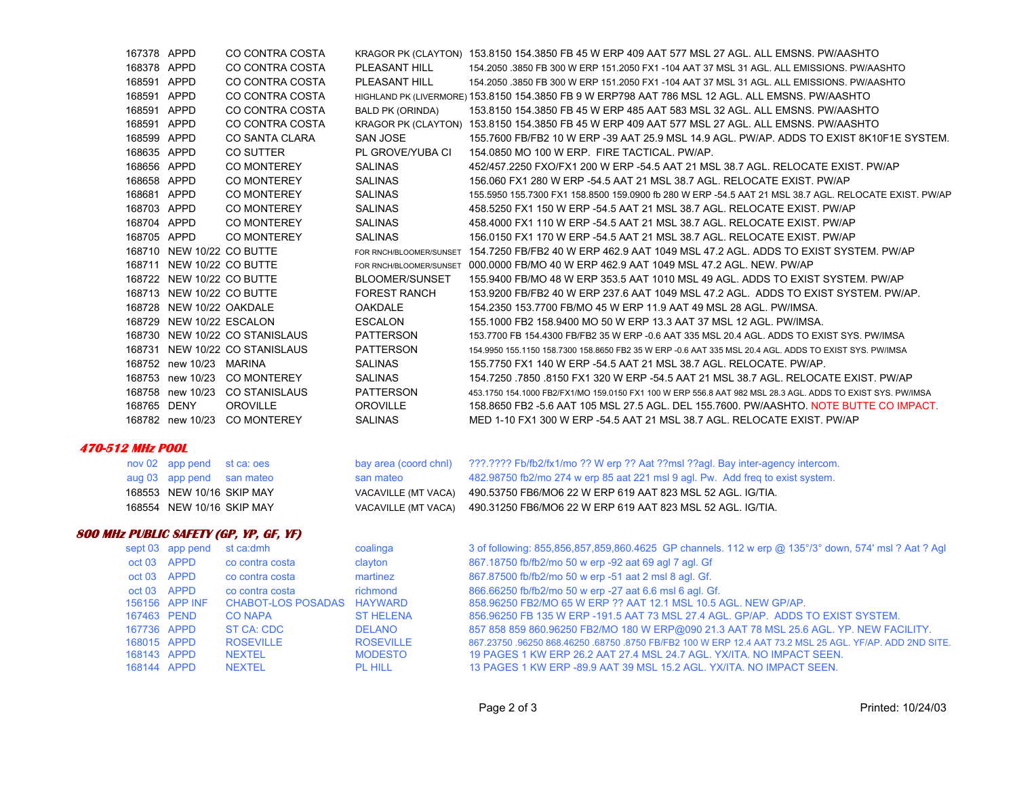|                                | 167378 APPD |                           | CO CONTRA COSTA                               |                         | KRAGOR PK (CLAYTON) 153.8150 154.3850 FB 45 W ERP 409 AAT 577 MSL 27 AGL. ALL EMSNS. PW/AASHTO             |
|--------------------------------|-------------|---------------------------|-----------------------------------------------|-------------------------|------------------------------------------------------------------------------------------------------------|
|                                | 168378 APPD |                           | CO CONTRA COSTA                               | PLEASANT HILL           | 154,2050 .3850 FB 300 W ERP 151,2050 FX1 -104 AAT 37 MSL 31 AGL, ALL EMISSIONS, PW/AASHTO                  |
|                                | 168591 APPD |                           | CO CONTRA COSTA                               | PLEASANT HILL           | 154.2050 .3850 FB 300 W ERP 151.2050 FX1 -104 AAT 37 MSL 31 AGL. ALL EMISSIONS. PW/AASHTO                  |
|                                | 168591 APPD |                           | CO CONTRA COSTA                               |                         | HIGHLAND PK (LIVERMORE) 153.8150 154.3850 FB 9 W ERP798 AAT 786 MSL 12 AGL. ALL EMSNS. PW/AASHTO           |
|                                | 168591 APPD |                           | CO CONTRA COSTA                               | <b>BALD PK (ORINDA)</b> | 153.8150 154.3850 FB 45 W ERP 485 AAT 583 MSL 32 AGL. ALL EMSNS. PW/AASHTO                                 |
|                                | 168591 APPD |                           | CO CONTRA COSTA                               |                         | KRAGOR PK (CLAYTON) 153.8150 154.3850 FB 45 W ERP 409 AAT 577 MSL 27 AGL. ALL EMSNS. PW/AASHTO             |
|                                | 168599 APPD |                           | CO SANTA CLARA                                | <b>SAN JOSE</b>         | 155.7600 FB/FB2 10 W ERP -39 AAT 25.9 MSL 14.9 AGL. PW/AP. ADDS TO EXIST 8K10F1E SYSTEM.                   |
|                                | 168635 APPD |                           | CO SUTTER                                     | PL GROVE/YUBA CI        | 154.0850 MO 100 W ERP. FIRE TACTICAL. PW/AP.                                                               |
|                                | 168656 APPD |                           | <b>CO MONTEREY</b>                            | <b>SALINAS</b>          | 452/457.2250 FXO/FX1 200 W ERP -54.5 AAT 21 MSL 38.7 AGL. RELOCATE EXIST. PW/AP                            |
|                                | 168658 APPD |                           | CO MONTEREY                                   | <b>SALINAS</b>          | 156.060 FX1 280 W ERP -54.5 AAT 21 MSL 38.7 AGL. RELOCATE EXIST. PW/AP                                     |
|                                | 168681 APPD |                           | <b>CO MONTEREY</b>                            | SALINAS                 | 155.5950 155.7300 FX1 158.8500 159.0900 fb 280 W ERP -54.5 AAT 21 MSL 38.7 AGL. RELOCATE EXIST. PW/AP      |
|                                | 168703 APPD |                           | <b>CO MONTEREY</b>                            | <b>SALINAS</b>          | 458.5250 FX1 150 W ERP -54.5 AAT 21 MSL 38.7 AGL. RELOCATE EXIST. PW/AP                                    |
|                                | 168704 APPD |                           | <b>CO MONTEREY</b>                            | <b>SALINAS</b>          | 458.4000 FX1 110 W ERP -54.5 AAT 21 MSL 38.7 AGL. RELOCATE EXIST. PW/AP                                    |
|                                | 168705 APPD |                           | <b>CO MONTEREY</b>                            | <b>SALINAS</b>          | 156.0150 FX1 170 W ERP -54.5 AAT 21 MSL 38.7 AGL. RELOCATE EXIST. PW/AP                                    |
|                                |             | 168710 NEW 10/22 CO BUTTE |                                               | FOR RNCH/BLOOMER/SUNSET | 154.7250 FB/FB2 40 W ERP 462.9 AAT 1049 MSL 47.2 AGL. ADDS TO EXIST SYSTEM. PW/AP                          |
|                                |             | 168711 NEW 10/22 CO BUTTE |                                               | FOR RNCH/BLOOMER/SUNSET | 000.0000 FB/MO 40 W ERP 462.9 AAT 1049 MSL 47.2 AGL. NEW. PW/AP                                            |
|                                |             | 168722 NEW 10/22 CO BUTTE |                                               | BLOOMER/SUNSET          | 155.9400 FB/MO 48 W ERP 353.5 AAT 1010 MSL 49 AGL. ADDS TO EXIST SYSTEM. PW/AP                             |
|                                |             | 168713 NEW 10/22 CO BUTTE |                                               | <b>FOREST RANCH</b>     | 153.9200 FB/FB2 40 W ERP 237.6 AAT 1049 MSL 47.2 AGL. ADDS TO EXIST SYSTEM. PW/AP.                         |
|                                |             | 168728 NEW 10/22 OAKDALE  |                                               | <b>OAKDALE</b>          | 154.2350 153.7700 FB/MO 45 W ERP 11.9 AAT 49 MSL 28 AGL. PW/IMSA.                                          |
|                                |             | 168729 NEW 10/22 ESCALON  |                                               | <b>ESCALON</b>          | 155.1000 FB2 158.9400 MO 50 W ERP 13.3 AAT 37 MSL 12 AGL. PW/IMSA.                                         |
|                                |             |                           | 168730 NEW 10/22 CO STANISLAUS                | PATTERSON               | 153.7700 FB 154.4300 FB/FB2 35 W ERP -0.6 AAT 335 MSL 20.4 AGL. ADDS TO EXIST SYS. PW/IMSA                 |
|                                |             |                           | 168731 NEW 10/22 CO STANISLAUS                | <b>PATTERSON</b>        | 154.9950 155.1150 158.7300 158.8650 FB2 35 W ERP -0.6 AAT 335 MSL 20.4 AGL. ADDS TO EXIST SYS. PW/IMSA     |
|                                |             | 168752 new 10/23 MARINA   |                                               | SALINAS                 | 155.7750 FX1 140 W ERP -54.5 AAT 21 MSL 38.7 AGL. RELOCATE. PW/AP.                                         |
|                                |             |                           | 168753 new 10/23 CO MONTEREY                  | SALINAS                 | 154.7250 .7850 .8150 FX1 320 W ERP -54.5 AAT 21 MSL 38.7 AGL. RELOCATE EXIST. PW/AP                        |
|                                |             |                           | 168758 new 10/23 CO STANISLAUS                | PATTERSON               | 453.1750 154.1000 FB2/FX1/MO 159.0150 FX1 100 W ERP 556.8 AAT 982 MSL 28.3 AGL. ADDS TO EXIST SYS. PW/IMSA |
|                                | 168765 DENY |                           | <b>OROVILLE</b>                               | <b>OROVILLE</b>         | 158.8650 FB2 -5.6 AAT 105 MSL 27.5 AGL. DEL 155.7600. PW/AASHTO. NOTE BUTTE CO IMPACT.                     |
|                                |             |                           | 168782 new 10/23 CO MONTEREY                  | <b>SALINAS</b>          | MED 1-10 FX1 300 W ERP -54.5 AAT 21 MSL 38.7 AGL, RELOCATE EXIST, PW/AP                                    |
|                                |             |                           |                                               |                         |                                                                                                            |
| <i><b>470-512 MHz POOL</b></i> |             |                           |                                               |                         |                                                                                                            |
|                                |             | nov 02 app pend           | st ca: oes                                    | bay area (coord chnl)   | ???.???? Fb/fb2/fx1/mo ?? W erp ?? Aat ??msl ??agl. Bay inter-agency intercom.                             |
|                                |             | aug 03 app pend           | san mateo                                     | san mateo               | 482.98750 fb2/mo 274 w erp 85 aat 221 msl 9 agl. Pw. Add freq to exist system.                             |
|                                |             | 168553 NEW 10/16 SKIP MAY |                                               | VACAVILLE (MT VACA)     | 490.53750 FB6/MO6 22 W ERP 619 AAT 823 MSL 52 AGL. IG/TIA.                                                 |
|                                |             | 168554 NEW 10/16 SKIP MAY |                                               | VACAVILLE (MT VACA)     | 490.31250 FB6/MO6 22 W ERP 619 AAT 823 MSL 52 AGL. IG/TIA.                                                 |
|                                |             |                           | <b>800 MHz PUBLIC SAFETY (GP, YP, GF, YF)</b> |                         |                                                                                                            |
|                                |             | sept 03 app pend          | st ca:dmh                                     | coalinga                | 3 of following: 855,856,857,859,860.4625 GP channels. 112 w erp @ 135°/3° down, 574' msl ? Aat ? Agl       |
|                                | oct 03 APPD |                           | co contra costa                               | clayton                 | 867.18750 fb/fb2/mo 50 w erp -92 aat 69 agl 7 agl. Gf                                                      |
|                                | oct 03 APPD |                           | co contra costa                               | martinez                | 867.87500 fb/fb2/mo 50 w erp -51 aat 2 msl 8 agl. Gf.                                                      |
|                                | oct 03 APPD |                           | co contra costa                               | richmond                | 866.66250 fb/fb2/mo 50 w erp -27 aat 6.6 msl 6 agl. Gf.                                                    |
|                                |             | 156156 APP INF            | CHABOT-LOS POSADAS HAYWARD                    |                         | 858.96250 FB2/MO 65 W ERP ?? AAT 12.1 MSL 10.5 AGL. NEW GP/AP.                                             |
|                                | 167463 PEND |                           | <b>CO NAPA</b>                                | <b>ST HELENA</b>        | 856,96250 FB 135 W ERP -191.5 AAT 73 MSL 27.4 AGL, GP/AP. ADDS TO EXIST SYSTEM.                            |
|                                | 167736 APPD |                           | ST CA: CDC                                    | <b>DELANO</b>           | 857 858 859 860.96250 FB2/MO 180 W ERP@090 21.3 AAT 78 MSL 25.6 AGL. YP. NEW FACILITY.                     |
|                                | 168015 APPD |                           | <b>ROSEVILLE</b>                              | <b>ROSEVILLE</b>        | 867.23750 .96250 868.46250 .68750 .8750 FB/FB2 100 W ERP 12.4 AAT 73.2 MSL 25 AGL. YF/AP. ADD 2ND SITE.    |

168143 APPD NEXTEL MODESTO 19 PAGES 1 KW ERP 26.2 AAT 27.4 MSL 24.7 AGL. YX/ITA. NO IMPACT SEEN. 168144 APPD NEXTEL PL HILL 13 PAGES 1 KW ERP -89.9 AAT 39 MSL 15.2 AGL. YX/ITA. NO IMPACT SEEN.